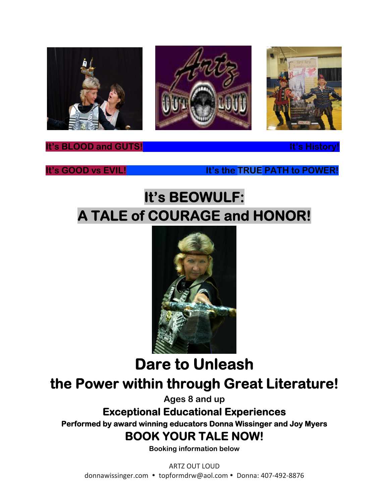





**It's BLOOD and GUTS!** It's History

**It's GOOD vs EVIL! It's the TRUE PATH to POWER!** 

# **It's BEOWULF: A TALE of COURAGE and HONOR!**



**Dare to Unleash the Power within through Great Literature!** 

**Ages 8 and up** 

**Exceptional Educational Experiences Performed by award winning educators Donna Wissinger and Joy Myers BOOK YOUR TALE NOW!** 

**Booking information below**

ARTZ OUT LOUD donnawissinger.com • topformdrw@aol.com • Donna: 407-492-8876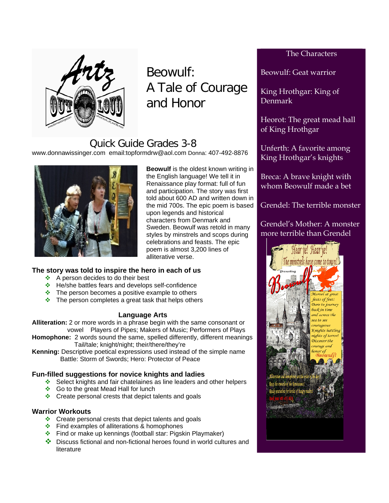

Beowulf: A Tale of Courage and Honor

## Quick Guide Grades 3-8

www.donnawissinger.com email:topformdrw@aol.com Donna: 407-492-8876



**Beowulf** is the oldest known writing in the English language! We tell it in Renaissance play format: full of fun and participation. The story was first told about 600 AD and written down in the mid 700s. The epic poem is based upon legends and historical characters from Denmark and Sweden. Beowulf was retold in many styles by minstrels and scops during celebrations and feasts. The epic poem is almost 3,200 lines of alliterative verse.

### **The story was told to inspire the hero in each of us**

- $\triangle$  A person decides to do their best
- ❖ He/she battles fears and develops self-confidence
- $\cdot \cdot$  The person becomes a positive example to others
- $\cdot$  The person completes a great task that helps others

### **Language Arts**

**Alliteration:** 2 or more words in a phrase begin with the same consonant or vowel Players of Pipes; Makers of Music; Performers of Plays

**Homophone:** 2 words sound the same, spelled differently, different meanings Tail/tale; knight/night; their/there/they're

**Kenning:** Descriptive poetical expressions used instead of the simple name Battle: Storm of Swords; Hero: Protector of Peace

### **Fun-filled suggestions for novice knights and ladies**

- Select knights and fair chatelaines as line leaders and other helpers
- ❖ Go to the great Mead Hall for lunch
- $\div$  Create personal crests that depict talents and goals

#### **Warrior Workouts**

- $\div$  Create personal crests that depict talents and goals
- $\div$  Find examples of alliterations & homophones
- Find or make up kennings (football star: Pigskin Playmaker)
- Discuss fictional and non-fictional heroes found in world cultures and literature

### The Characters

Beowulf: Geat warrior

King Hrothgar: King of Denmark

Heorot: The great mead hall of King Hrothgar

Unferth: A favorite among King Hrothgar's knights

Breca: A brave knight with whom Beowulf made a bet

Grendel: The terrible monster

Grendel's Mother: A monster more terrible than Grendel

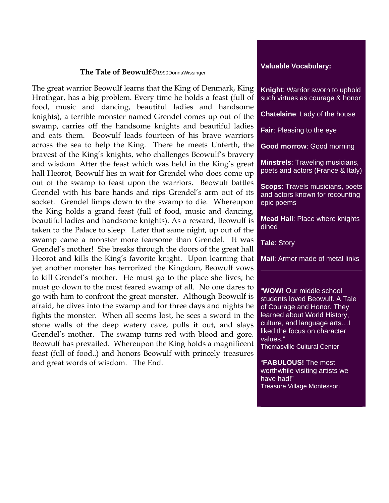#### **The Tale of Beowulf**©1990DonnaWissinger

The great warrior Beowulf learns that the King of Denmark, King Hrothgar, has a big problem. Every time he holds a feast (full of food, music and dancing, beautiful ladies and handsome knights), a terrible monster named Grendel comes up out of the swamp, carries off the handsome knights and beautiful ladies and eats them. Beowulf leads fourteen of his brave warriors across the sea to help the King. There he meets Unferth, the bravest of the King's knights, who challenges Beowulf's bravery and wisdom. After the feast which was held in the King's great hall Heorot, Beowulf lies in wait for Grendel who does come up out of the swamp to feast upon the warriors. Beowulf battles Grendel with his bare hands and rips Grendel's arm out of its socket. Grendel limps down to the swamp to die. Whereupon the King holds a grand feast (full of food, music and dancing, beautiful ladies and handsome knights). As a reward, Beowulf is taken to the Palace to sleep. Later that same night, up out of the swamp came a monster more fearsome than Grendel. It was Grendel's mother! She breaks through the doors of the great hall Heorot and kills the King's favorite knight. Upon learning that yet another monster has terrorized the Kingdom, Beowulf vows to kill Grendel's mother. He must go to the place she lives; he must go down to the most feared swamp of all. No one dares to go with him to confront the great monster. Although Beowulf is afraid, he dives into the swamp and for three days and nights he fights the monster. When all seems lost, he sees a sword in the stone walls of the deep watery cave, pulls it out, and slays Grendel's mother. The swamp turns red with blood and gore. Beowulf has prevailed. Whereupon the King holds a magnificent feast (full of food..) and honors Beowulf with princely treasures and great words of wisdom. The End.

#### **Valuable Vocabulary:**

**Knight**: Warrior sworn to uphold such virtues as courage & honor

**Chatelaine**: Lady of the house

**Fair**: Pleasing to the eye

**Good morrow**: Good morning

**Minstrels**: Traveling musicians, poets and actors (France & Italy)

**Scops**: Travels musicians, poets and actors known for recounting epic poems

**Mead Hall**: Place where knights dined

**Tale**: Story

**Mail**: Armor made of metal links

"**WOW!** Our middle school students loved Beowulf. A Tale of Courage and Honor. They learned about World History, culture, and language arts…I liked the focus on character values."

Thomasville Cultural Center

"**FABULOUS!** The most worthwhile visiting artists we have had!" Treasure Village Montessori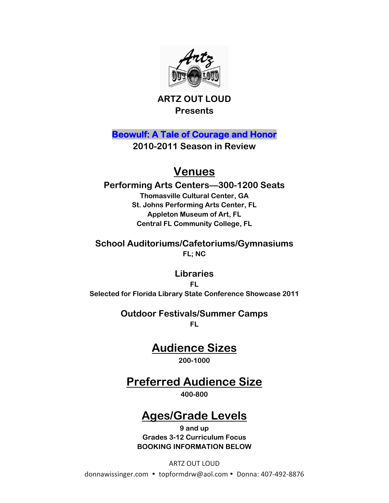



**Beowulf: A Tale of Courage and Honor** 

**2010-2011 Season in Review** 

## **Venues**

**Performing Arts Centers—300-1200 Seats Thomasville Cultural Center, GA St. Johns Performing Arts Center, FL Appleton Museum of Art, FL Central FL Community College, FL** 

**School Auditoriums/Cafetoriums/Gymnasiums FL; NC** 

**Libraries FL Selected for Florida Library State Conference Showcase 2011** 

> **Outdoor Festivals/Summer Camps FL**

> > **Audience Sizes**

**200-1000** 

## **Preferred Audience Size**

**400-800** 

## **Ages/Grade Levels**

**9 and up Grades 3-12 Curriculum Focus BOOKING INFORMATION BELOW** 

ARTZ OUT LOUD

donnawissinger.com · topformdrw@aol.com · Donna: 407-492-8876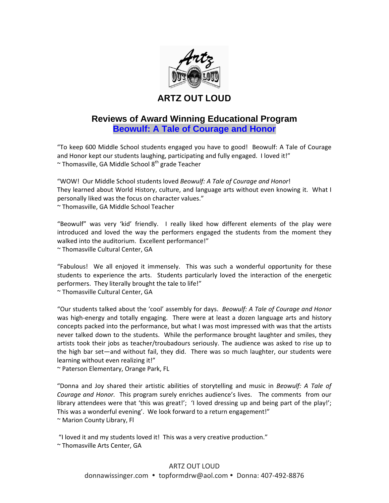

### **ARTZ OUT LOUD**

### **Reviews of Award Winning Educational Program Beowulf: A Tale of Courage and Honor**

"To keep 600 Middle School students engaged you have to good! Beowulf: A Tale of Courage and Honor kept our students laughing, participating and fully engaged. I loved it!"  $\sim$  Thomasville, GA Middle School 8<sup>th</sup> grade Teacher

"WOW! Our Middle School students loved *Beowulf: A Tale of Courage and Honor*! They learned about World History, culture, and language arts without even knowing it. What I personally liked was the focus on character values." ~ Thomasville, GA Middle School Teacher

"Beowulf" was very 'kid' friendly. I really liked how different elements of the play were introduced and loved the way the performers engaged the students from the moment they walked into the auditorium. Excellent performance!" ~ Thomasville Cultural Center, GA

"Fabulous! We all enjoyed it immensely. This was such a wonderful opportunity for these students to experience the arts. Students particularly loved the interaction of the energetic performers. They literally brought the tale to life!"

~ Thomasville Cultural Center, GA

"Our students talked about the 'cool' assembly for days. *Beowulf: A Tale of Courage and Honor* was high-energy and totally engaging. There were at least a dozen language arts and history concepts packed into the performance, but what I was most impressed with was that the artists never talked down to the students. While the performance brought laughter and smiles, they artists took their jobs as teacher/troubadours seriously. The audience was asked to rise up to the high bar set—and without fail, they did. There was so much laughter, our students were learning without even realizing it!"

~ Paterson Elementary, Orange Park, FL

"Donna and Joy shared their artistic abilities of storytelling and music in *Beowulf: A Tale of Courage and Honor.* This program surely enriches audience's lives. The comments from our library attendees were that 'this was great!'; 'I loved dressing up and being part of the play!'; This was a wonderful evening'. We look forward to a return engagement!" ~ Marion County Library, Fl

"I loved it and my students loved it! This was a very creative production."

~ Thomasville Arts Center, GA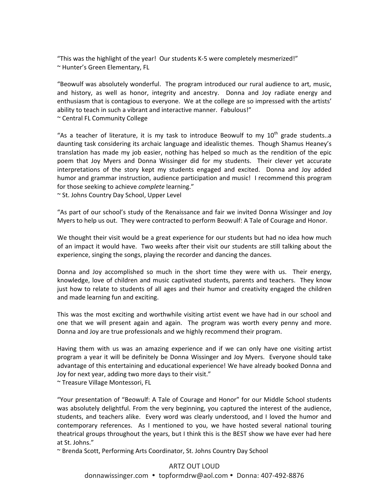"This was the highlight of the year! Our students K‐5 were completely mesmerized!" ~ Hunter's Green Elementary, FL

"Beowulf was absolutely wonderful. The program introduced our rural audience to art, music, and history, as well as honor, integrity and ancestry. Donna and Joy radiate energy and enthusiasm that is contagious to everyone. We at the college are so impressed with the artists' ability to teach in such a vibrant and interactive manner. Fabulous!" ~ Central FL Community College

"As a teacher of literature, it is my task to introduce Beowulf to my  $10<sup>th</sup>$  grade students..a daunting task considering its archaic language and idealistic themes. Though Shamus Heaney's translation has made my job easier, nothing has helped so much as the rendition of the epic poem that Joy Myers and Donna Wissinger did for my students. Their clever yet accurate interpretations of the story kept my students engaged and excited. Donna and Joy added humor and grammar instruction, audience participation and music! I recommend this program for those seeking to achieve *complete* learning."

~ St. Johns Country Day School, Upper Level

"As part of our school's study of the Renaissance and fair we invited Donna Wissinger and Joy Myers to help us out. They were contracted to perform Beowulf: A Tale of Courage and Honor.

We thought their visit would be a great experience for our students but had no idea how much of an impact it would have. Two weeks after their visit our students are still talking about the experience, singing the songs, playing the recorder and dancing the dances.

Donna and Joy accomplished so much in the short time they were with us. Their energy, knowledge, love of children and music captivated students, parents and teachers. They know just how to relate to students of all ages and their humor and creativity engaged the children and made learning fun and exciting.

This was the most exciting and worthwhile visiting artist event we have had in our school and one that we will present again and again. The program was worth every penny and more. Donna and Joy are true professionals and we highly recommend their program.

Having them with us was an amazing experience and if we can only have one visiting artist program a year it will be definitely be Donna Wissinger and Joy Myers. Everyone should take advantage of this entertaining and educational experience! We have already booked Donna and Joy for next year, adding two more days to their visit."

~ Treasure Village Montessori, FL

"Your presentation of "Beowulf: A Tale of Courage and Honor" for our Middle School students was absolutely delightful. From the very beginning, you captured the interest of the audience, students, and teachers alike. Every word was clearly understood, and I loved the humor and contemporary references. As I mentioned to you, we have hosted several national touring theatrical groups throughout the years, but I think this is the BEST show we have ever had here at St. Johns."

~ Brenda Scott, Performing Arts Coordinator, St. Johns Country Day School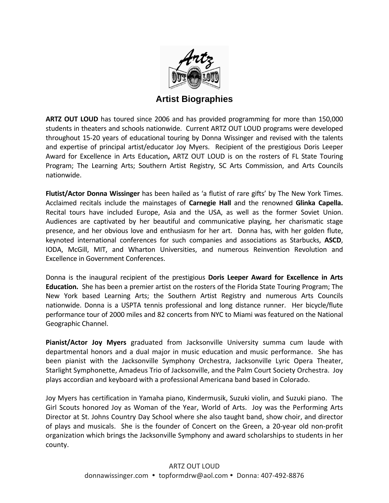

### **Artist Biographies**

**ARTZ OUT LOUD** has toured since 2006 and has provided programming for more than 150,000 students in theaters and schools nationwide. Current ARTZ OUT LOUD programs were developed throughout 15‐20 years of educational touring by Donna Wissinger and revised with the talents and expertise of principal artist/educator Joy Myers. Recipient of the prestigious Doris Leeper Award for Excellence in Arts Education**,** ARTZ OUT LOUD is on the rosters of FL State Touring Program; The Learning Arts; Southern Artist Registry, SC Arts Commission, and Arts Councils nationwide.

**Flutist/Actor Donna Wissinger** has been hailed as 'a flutist of rare gifts' by The New York Times. Acclaimed recitals include the mainstages of **Carnegie Hall** and the renowned **Glinka Capella.** Recital tours have included Europe, Asia and the USA, as well as the former Soviet Union. Audiences are captivated by her beautiful and communicative playing, her charismatic stage presence, and her obvious love and enthusiasm for her art. Donna has, with her golden flute, keynoted international conferences for such companies and associations as Starbucks, **ASCD**, IODA, McGill, MIT, and Wharton Universities, and numerous Reinvention Revolution and Excellence in Government Conferences.

Donna is the inaugural recipient of the prestigious **Doris Leeper Award for Excellence in Arts Education.** She has been a premier artist on the rosters of the Florida State Touring Program; The New York based Learning Arts; the Southern Artist Registry and numerous Arts Councils nationwide. Donna is a USPTA tennis professional and long distance runner. Her bicvcle/flute performance tour of 2000 miles and 82 concerts from NYC to Miami was featured on the National Geographic Channel.

**Pianist/Actor Joy Myers** graduated from Jacksonville University summa cum laude with departmental honors and a dual major in music education and music performance. She has been pianist with the Jacksonville Symphony Orchestra, Jacksonville Lyric Opera Theater, Starlight Symphonette, Amadeus Trio of Jacksonville, and the Palm Court Society Orchestra. Joy plays accordian and keyboard with a professional Americana band based in Colorado.

Joy Myers has certification in Yamaha piano, Kindermusik, Suzuki violin, and Suzuki piano. The Girl Scouts honored Joy as Woman of the Year, World of Arts. Joy was the Performing Arts Director at St. Johns Country Day School where she also taught band, show choir, and director of plays and musicals. She is the founder of Concert on the Green, a 20-year old non-profit organization which brings the Jacksonville Symphony and award scholarships to students in her county.